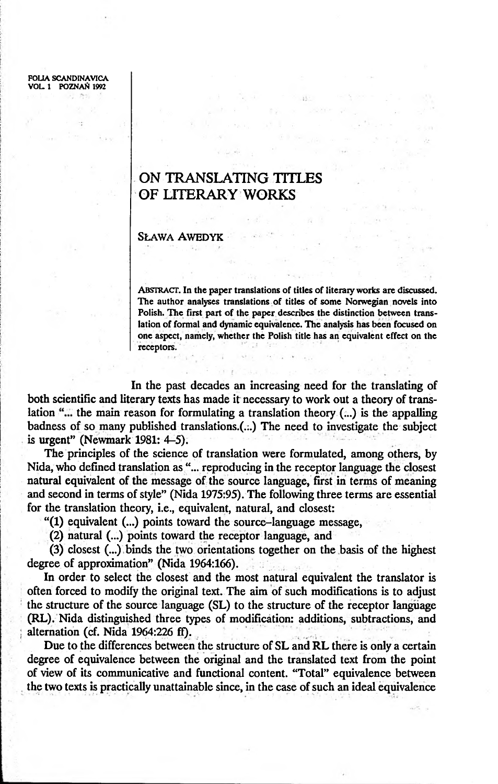FOLIA SCANDINAVICA VOL 1 POZNAŃ 1992

## **ON TRANSLATING TITLES OF LITERARY WORKS**

## SŁAWA AWEDYK

ABSTRACT. In the paper translations of titles of literary works are discussed. The author analyses translations of titles of some Norwegian novels into Polish. The first part of the paper describes the distinction between translation of formal and dynamic equivalence. The analysis has been focused on one aspect, namely, whether the Polish title has an equivalent effect on the receptors.

 $1.141$ 

In the past decades an increasing need for the translating of both scientific and literary texts has made it necessary to work out a theory of translation "... the main reason for formulating a translation theory (...) is the appalling badness of so many published translations.(...) The need to investigate the subject is urgent" (Newmark 1981: 4-5).

The principles of the science of translation were formulated, among others, by Nida, who defined translation as "... reproducing in the receptor language the closest natural equivalent of the message of the source language, first in terms of meaning and second in terms of style" (Nida 1975:95). The following three terms are essential for the translation theory, i.e., equivalent, natural, and closest:

" $(1)$  equivalent  $(...)$  points toward the source-language message,

(2) natural (...) points toward the receptor language, and

(3) closest (...) binds the two orientations together on the basis of the highest degree of approximation" (Nida 1964:166).

In order to select the closest and the most natural equivalent the translator is often forced to modify the original text. The aim of such modifications is to adjust the structure of the source language (SL) to the structure of the receptor language (RL). Nida distinguished three types of modification: additions, subtractions, and alternation (cf. Nida 1964:226 ff).

Due to the differences between the structure of SL and RL there is only a certain degree of equivalence between the original and the translated text from the point of view of its communicative and functional content. "Total" equivalence between the two texts is practically unattainable since, in the case of such an ideal equivalence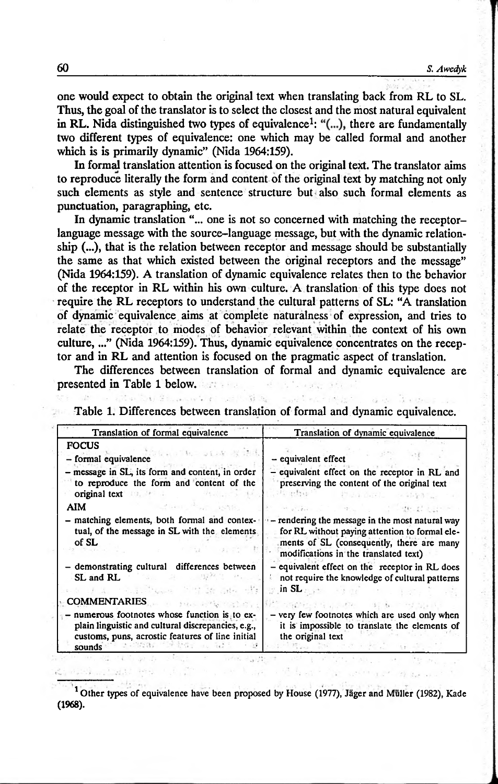one would expect to obtain the original text when translating back from RL to SL. Thus, the goal of the translator is to select the closest and the most natural equivalent in RL. Nida distinguished two types of equivalence<sup>1</sup>: " $\ldots$ ), there are fundamentally two different types of equivalence: one which may be called formal and another which is is primarily dynamic" (Nida 1964:159).

In formal translation attention is focused on the original text. The translator aims to reproduce literally the form and content of the original text by matching not only such elements as style and sentence structure but also such formal elements as punctuation, paragraphing, etc.

In dynamic translation "... one is not so concerned with matching the receptorlanguage message with the source-language message, but with the dynamic relationship (...), that is the relation between receptor and message should be substantially the same as that which existed between the original receptors and the message" (Nida 1964:159). A translation of dynamic equivalence relates then to the behavior of the receptor in RL within his own culture. A translation of this type does not require the RL receptors to understand the cultural patterns of SL: "A translation of dynamic equivalence aims at complete naturalness of expression, and tries to relate the receptor to modes of behavior relevant within the context of his own culture,..." (Nida 1964:159). Thus, dynamic equivalence concentrates on the receptor and in RL and attention is focused on the pragmatic aspect of translation.

The differences between translation of formal and dynamic equivalence are presented in Table 1 below.

| Translation of formal equivalence                                                                                                                               | Translation of dynamic equivalence                                                                                                                                                      |  |
|-----------------------------------------------------------------------------------------------------------------------------------------------------------------|-----------------------------------------------------------------------------------------------------------------------------------------------------------------------------------------|--|
| <b>FOCUS</b><br>- formal equivalence                                                                                                                            | - equivalent effect                                                                                                                                                                     |  |
| message in SL, its form and content, in order<br>to reproduce the form and content of the<br>original text                                                      | - equivalent effect on the receptor in RL and<br>preserving the content of the original text                                                                                            |  |
| AIM                                                                                                                                                             |                                                                                                                                                                                         |  |
| matching elements, both formal and contex-<br>tual, of the message in SL with the elements.<br>of SL                                                            | - rendering the message in the most natural way<br>for RL without paying attention to formal ele-<br>ments of SL (consequently, there are many<br>modifications in the translated text) |  |
| - demonstrating cultural differences between<br>SL and RL                                                                                                       | - equivalent effect on the receptor in RL does<br>not require the knowledge of cultural patterns<br>in SL                                                                               |  |
| <b>COMMENTARIES</b>                                                                                                                                             |                                                                                                                                                                                         |  |
| numerous footnotes whose function is to ex-<br>plain linguistic and cultural discrepancies, e.g.,<br>customs, puns, acrostic features of line initial<br>sounds | - very few footnotes which are used only when<br>it is impossible to translate the elements of<br>the original text                                                                     |  |

官 年 Table 1. Differences between translation of formal and dynamic equivalence.

<sup>1</sup> Other types of equivalence have been proposed by House (1977), Jäger and Müller (1982), Kade (1968).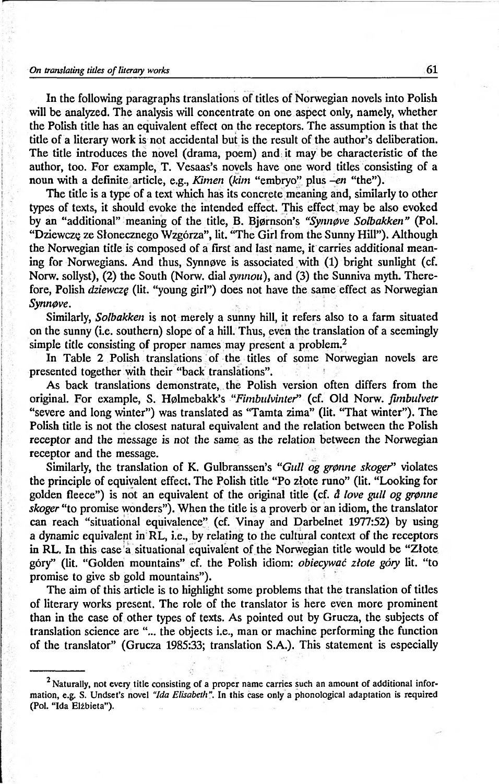## *On translating titles of literary works* 61

In the following paragraphs translations of titles of Norwegian novels into Polish will be analyzed. The analysis will concentrate on one aspect only, namely, whether the Polish title has an equivalent effect on the receptors. The assumption is that the title of a literary work is not accidental but is the result of the author's deliberation. The title introduces the novel (drama, poem) and; it may be characteristic of the author, too. For example, T. Vesaas's novels have one word titles consisting of a noun with a definite article, e.g., *Kimen (kim* "embryo" plus *-en* "the").

The title is a type of a text which has its concrete meaning and, similarly to other types of texts, it should evoke the intended effect. This effect, may be also evoked by an "additional" meaning of the title, B. Bjørnson's *"Synnøve Solbakken"* (Pol. "Dziewczę ze Słonecznego Wzgórza", lit. "The Girl from the Sunny Hill"). Although the Norwegian title is composed of a first and last name, it carries additional meaning for Norwegians. And thus, Synnøve is associated with (1) bright sunlight (cf. Norw. sollyst), (2) the South (Norw. dial *synnou),* and (3) the Sunniva myth. Therefore, Polish *dziewczę* (lit. "young girl") does not have the same effect as Norwegian *Synnpve.*

Similarly, *Solbakken* is not merely a sunny hill, it refers also to a farm situated on the sunny (i.e. southern) slope of a hill. Thus, even the translation of a seemingly simple title consisting of proper names may present a problem.<sup>2</sup>

In Table 2 Polish translations of the titles of some Norwegian novels are presented together with their "back translations".

As back translations demonstrate, the Polish version often differs from the original. For example, S. H0lmebakk's "*Fimbulvintef*' (cf. Old Norw. *fimbulvetr* "severe and long winter") was translated as "Tamta zima" (lit. "That winter"). The Polish title is not the closest natural equivalent and the relation between the Polish receptor and the message is not the same as the relation between the Norwegian receptor and the message.

Similarly, the translation of K. Gulbranssen's "*Gull og grønne skoger*" violates the principle of equivalent effect. The Polish title "Po złote runo" (lit. "Looking for golden fleece") is not an equivalent of the original title (cf. *å love gull og grønne skoger* "to promise wonders"). When the title is a proverb or an idiom, the translator can reach "situational equivalence" (cf. Vinay and Darbelnet 1977:52) by using a dynamic equivalent in RL, i.e., by relating to the cultural context of the receptors in RL. In this case'a situational equivalent of the Norwegian title would be "Złote góry" (lit. "Golden mountains" cf. the Polish idiom: *obiecywać złote góry* lit. "to promise to give sb gold mountains").

The aim of this article is to highlight some problems that the translation of titles of literary works present. The role of the translator is here even more prominent than in the case of other types of texts. As pointed out by Grucza, the subjects of translation science are "... the objects i.e., man or machine performing the function of the translator" (Grucza 1985:33; translation S.A.). This statement is especially

<sup>&</sup>lt;sup>2</sup> Naturally, not every title consisting of a proper name carries such an amount of additional information, e.g. S. Undset's novel *"Ida Elisabeth".* In this case only a phonological adaptation is required (Pol. "Ida Elźbieta").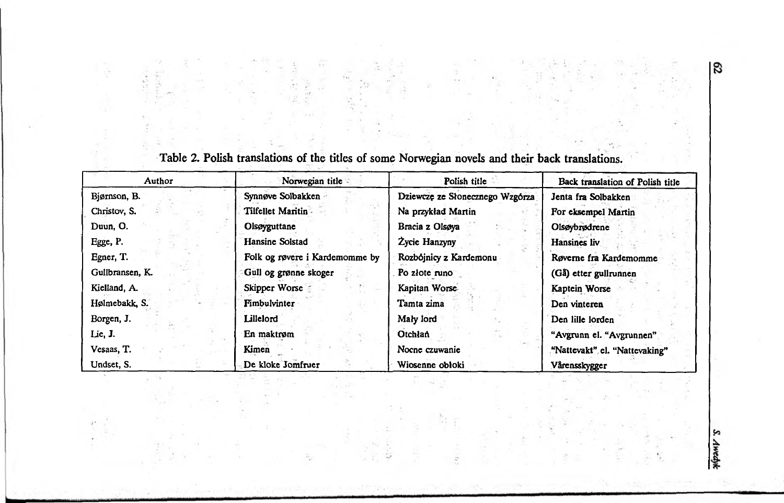| Author          | Norwegian title                | Polish title                    | Back translation of Polish title |
|-----------------|--------------------------------|---------------------------------|----------------------------------|
| Bjørnson, B.    | Synnøve Solbakken              | Dziewczę ze Słonecznego Wzgórza | Jenta fra Solbakken              |
| Christov, S.    | Tilfellet Maritin              | Na przykład Martin              | For eksempel Martin              |
| Duun, O.        | Olsøyguttane                   | Bracia z Olsøya                 | Olsøybrødrene                    |
| Egge, P.        | Hansine Solstad                | Zycie Hanzyny                   | Hansines liv                     |
| Egner, T.       | Folk og røvere i Kardemomme by | Rozbójnicy z Kardemonu          | Røverne fra Kardemomme           |
| Gullbransen, K. | Gull og grønne skoger          | Po złote runo                   | (Gå) etter gullrunnen            |
| Kielland, A.    | Skipper Worse                  | Kapitan Worse.                  | Kaptein Worse                    |
| Hølmebakk, S.   | Fimbulvinter                   | Tamta zima                      | Den vinteren                     |
| Borgen, J.      | Lillelord                      | Maly lord                       | Den lille lorden                 |
| Lie, J.         | En maktrøm                     | Otchłań                         | "Avgrunn el. "Avgrunnen"         |
| Vesaas, T.      | Kimen                          | Nocne czuwanie                  | "Nattevakt" el. "Nattevaking"    |
| Undset, S.      | De kloke Jomfruer              | Wiosenne obłoki                 | Vårensskygger                    |

÷

Table 2. Polish translations of the titles of some Norwegian novels and their back translations.

 $\overline{3}$ 

S. Awedyk